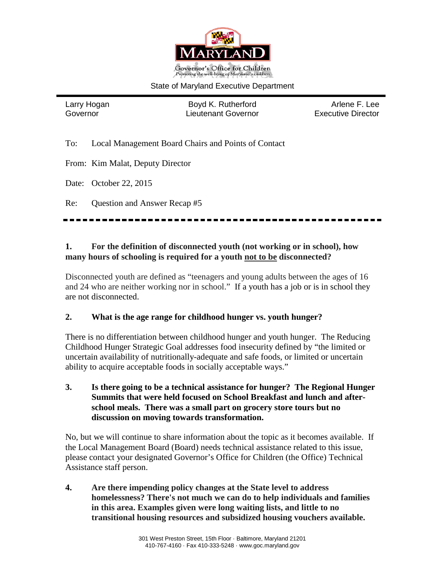

#### State of Maryland Executive Department

Larry Hogan **Boyd K. Rutherford** Arlene F. Lee Governor Lieutenant Governor Executive Director

To: Local Management Board Chairs and Points of Contact

From: Kim Malat, Deputy Director

Date: October 22, 2015

Re: Question and Answer Recap #5

## **1. For the definition of disconnected youth (not working or in school), how many hours of schooling is required for a youth not to be disconnected?**

Disconnected youth are defined as "teenagers and young adults between the ages of 16 and 24 who are neither working nor in school." If a youth has a job or is in school they are not disconnected.

#### **2. What is the age range for childhood hunger vs. youth hunger?**

There is no differentiation between childhood hunger and youth hunger. The Reducing Childhood Hunger Strategic Goal addresses food insecurity defined by "the limited or uncertain availability of nutritionally-adequate and safe foods, or limited or uncertain ability to acquire acceptable foods in socially acceptable ways."

**3. Is there going to be a technical assistance for hunger? The Regional Hunger Summits that were held focused on School Breakfast and lunch and afterschool meals. There was a small part on grocery store tours but no discussion on moving towards transformation.**

No, but we will continue to share information about the topic as it becomes available. If the Local Management Board (Board) needs technical assistance related to this issue, please contact your designated Governor's Office for Children (the Office) Technical Assistance staff person.

**4. Are there impending policy changes at the State level to address homelessness? There's not much we can do to help individuals and families in this area. Examples given were long waiting lists, and little to no transitional housing resources and subsidized housing vouchers available.**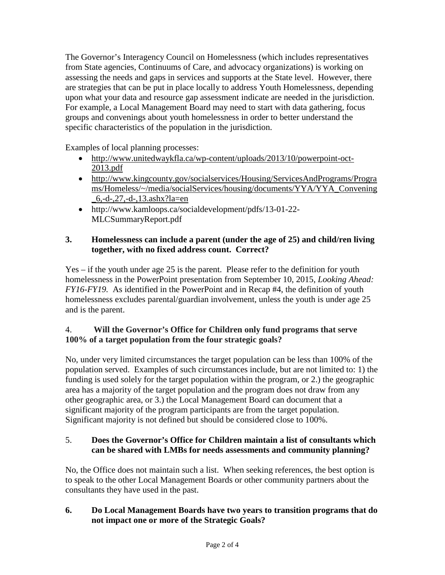The Governor's Interagency Council on Homelessness (which includes representatives from State agencies, Continuums of Care, and advocacy organizations) is working on assessing the needs and gaps in services and supports at the State level. However, there are strategies that can be put in place locally to address Youth Homelessness, depending upon what your data and resource gap assessment indicate are needed in the jurisdiction. For example, a Local Management Board may need to start with data gathering, focus groups and convenings about youth homelessness in order to better understand the specific characteristics of the population in the jurisdiction.

Examples of local planning processes:

- [http://www.unitedwaykfla.ca/wp-content/uploads/2013/10/powerpoint-oct-](http://www.unitedwaykfla.ca/wp-content/uploads/2013/10/powerpoint-oct-2013.pdf)[2013.pdf](http://www.unitedwaykfla.ca/wp-content/uploads/2013/10/powerpoint-oct-2013.pdf)
- [http://www.kingcounty.gov/socialservices/Housing/ServicesAndPrograms/Progra](http://www.kingcounty.gov/socialservices/Housing/ServicesAndPrograms/Programs/Homeless/%7E/media/socialServices/housing/documents/YYA/YYA_Convening_6,-d-,27,-d-,13.ashx?la=en) [ms/Homeless/~/media/socialServices/housing/documents/YYA/YYA\\_Convening](http://www.kingcounty.gov/socialservices/Housing/ServicesAndPrograms/Programs/Homeless/%7E/media/socialServices/housing/documents/YYA/YYA_Convening_6,-d-,27,-d-,13.ashx?la=en)  $\_6, -d-, 27, -d-, 13.$ ashx?la=en
- http://www.kamloops.ca/socialdevelopment/pdfs/13-01-22- MLCSummaryReport.pdf

## **3. Homelessness can include a parent (under the age of 25) and child/ren living together, with no fixed address count. Correct?**

Yes – if the youth under age 25 is the parent. Please refer to the definition for youth homelessness in the PowerPoint presentation from September 10, 2015, *Looking Ahead: FY16-FY19.* As identified in the PowerPoint and in Recap #4, the definition of youth homelessness excludes parental/guardian involvement, unless the youth is under age 25 and is the parent.

# 4. **Will the Governor's Office for Children only fund programs that serve 100% of a target population from the four strategic goals?**

No, under very limited circumstances the target population can be less than 100% of the population served. Examples of such circumstances include, but are not limited to: 1) the funding is used solely for the target population within the program, or 2.) the geographic area has a majority of the target population and the program does not draw from any other geographic area, or 3.) the Local Management Board can document that a significant majority of the program participants are from the target population. Significant majority is not defined but should be considered close to 100%.

# 5. **Does the Governor's Office for Children maintain a list of consultants which can be shared with LMBs for needs assessments and community planning?**

No, the Office does not maintain such a list. When seeking references, the best option is to speak to the other Local Management Boards or other community partners about the consultants they have used in the past.

## **6. Do Local Management Boards have two years to transition programs that do not impact one or more of the Strategic Goals?**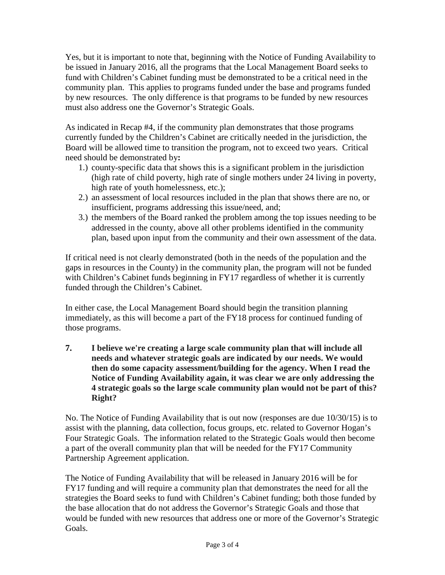Yes, but it is important to note that, beginning with the Notice of Funding Availability to be issued in January 2016, all the programs that the Local Management Board seeks to fund with Children's Cabinet funding must be demonstrated to be a critical need in the community plan. This applies to programs funded under the base and programs funded by new resources. The only difference is that programs to be funded by new resources must also address one the Governor's Strategic Goals.

As indicated in Recap #4, if the community plan demonstrates that those programs currently funded by the Children's Cabinet are critically needed in the jurisdiction, the Board will be allowed time to transition the program, not to exceed two years. Critical need should be demonstrated by**:**

- 1.) county-specific data that shows this is a significant problem in the jurisdiction (high rate of child poverty, high rate of single mothers under 24 living in poverty, high rate of youth homelessness, etc.);
- 2.) an assessment of local resources included in the plan that shows there are no, or insufficient, programs addressing this issue/need, and;
- 3.) the members of the Board ranked the problem among the top issues needing to be addressed in the county, above all other problems identified in the community plan, based upon input from the community and their own assessment of the data.

If critical need is not clearly demonstrated (both in the needs of the population and the gaps in resources in the County) in the community plan, the program will not be funded with Children's Cabinet funds beginning in FY17 regardless of whether it is currently funded through the Children's Cabinet.

In either case, the Local Management Board should begin the transition planning immediately, as this will become a part of the FY18 process for continued funding of those programs.

**7. I believe we're creating a large scale community plan that will include all needs and whatever strategic goals are indicated by our needs. We would then do some capacity assessment/building for the agency. When I read the Notice of Funding Availability again, it was clear we are only addressing the 4 strategic goals so the large scale community plan would not be part of this? Right?**

No. The Notice of Funding Availability that is out now (responses are due 10/30/15) is to assist with the planning, data collection, focus groups, etc. related to Governor Hogan's Four Strategic Goals. The information related to the Strategic Goals would then become a part of the overall community plan that will be needed for the FY17 Community Partnership Agreement application.

The Notice of Funding Availability that will be released in January 2016 will be for FY17 funding and will require a community plan that demonstrates the need for all the strategies the Board seeks to fund with Children's Cabinet funding; both those funded by the base allocation that do not address the Governor's Strategic Goals and those that would be funded with new resources that address one or more of the Governor's Strategic Goals.